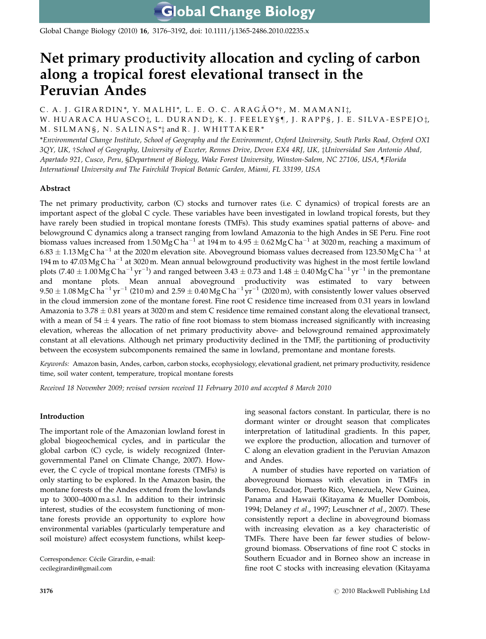**Global Change Biology** 

Global Change Biology (2010) 16, 3176–3192, doi: 10.1111/j.1365-2486.2010.02235.x

# Net primary productivity allocation and cycling of carbon along a tropical forest elevational transect in the Peruvian Andes

C. A. J. GIRARDIN\*, Y. MALHI\*, L. E. O. C. ARAGÃO\*†, M. MAMANI $\ddagger$ , W. HUARACA HUASCO<sup>†</sup>, L. DURAND<sup>†</sup>, K. J. FEELEY§¶, J. RAPP§, J. E. SILVA-ESPEJO<sup>†</sup>, M. SILMANS, N. SALINAS<sup>\*</sup><sup>†</sup> and R. J. WHITTAKER<sup>\*</sup>

\*Environmental Change Institute, School of Geography and the Environment, Oxford University, South Parks Road, Oxford OX1 3QY, UK, †School of Geography, University of Exceter, Rennes Drive, Devon EX4 4RJ, UK, ‡Universidad San Antonio Abad, Apartado 921, Cusco, Peru, §Department of Biology, Wake Forest University, Winston-Salem, NC 27106, USA, }Florida International University and The Fairchild Tropical Botanic Garden, Miami, FL 33199, USA

# Abstract

The net primary productivity, carbon (C) stocks and turnover rates (i.e. C dynamics) of tropical forests are an important aspect of the global C cycle. These variables have been investigated in lowland tropical forests, but they have rarely been studied in tropical montane forests (TMFs). This study examines spatial patterns of above- and belowground C dynamics along a transect ranging from lowland Amazonia to the high Andes in SE Peru. Fine root biomass values increased from 1.50MgCha $^{-1}$  at 194m to 4.95  $\pm$  0.62MgCha $^{-1}$  at 3020m, reaching a maximum of 6.83  $\pm$  1.13 Mg C ha $^{-1}$  at the 2020 m elevation site. Aboveground biomass values decreased from 123.50 Mg C ha $^{-1}$  at 194 m to 47.03 Mg Cha $^{-1}$  at 3020 m. Mean annual belowground productivity was highest in the most fertile lowland plots (7.40  $\pm$  1.00 Mg C ha $^{-1}$  yr $^{-1}$ ) and ranged between 3.43  $\pm$  0.73 and 1.48  $\pm$  0.40 Mg C ha $^{-1}$  yr $^{-1}$  in the premontane and montane plots. Mean annual aboveground productivity was estimated to vary between  $9.50\pm1.08\,\mathrm{Mg\,C\,ha^{-1}\,yr^{-1}}$  (210 m) and  $2.59\pm0.40\,\mathrm{Mg\,C\,ha^{-1}\,yr^{-1}}$  (2020 m), with consistently lower values observed in the cloud immersion zone of the montane forest. Fine root C residence time increased from 0.31 years in lowland Amazonia to  $3.78 \pm 0.81$  years at 3020 m and stem C residence time remained constant along the elevational transect, with a mean of  $54 \pm 4$  years. The ratio of fine root biomass to stem biomass increased significantly with increasing elevation, whereas the allocation of net primary productivity above- and belowground remained approximately constant at all elevations. Although net primary productivity declined in the TMF, the partitioning of productivity between the ecosystem subcomponents remained the same in lowland, premontane and montane forests.

Keywords: Amazon basin, Andes, carbon, carbon stocks, ecophysiology, elevational gradient, net primary productivity, residence time, soil water content, temperature, tropical montane forests

Received 18 November 2009; revised version received 11 February 2010 and accepted 8 March 2010

# Introduction

The important role of the Amazonian lowland forest in global biogeochemical cycles, and in particular the global carbon (C) cycle, is widely recognized (Intergovernmental Panel on Climate Change, 2007). However, the C cycle of tropical montane forests (TMFs) is only starting to be explored. In the Amazon basin, the montane forests of the Andes extend from the lowlands up to 3000–4000 m a.s.l. In addition to their intrinsic interest, studies of the ecosystem functioning of montane forests provide an opportunity to explore how environmental variables (particularly temperature and soil moisture) affect ecosystem functions, whilst keeping seasonal factors constant. In particular, there is no dormant winter or drought season that complicates interpretation of latitudinal gradients. In this paper, we explore the production, allocation and turnover of C along an elevation gradient in the Peruvian Amazon and Andes.

A number of studies have reported on variation of aboveground biomass with elevation in TMFs in Borneo, Ecuador, Puerto Rico, Venezuela, New Guinea, Panama and Hawaii (Kitayama & Mueller Dombois, 1994; Delaney et al., 1997; Leuschner et al., 2007). These consistently report a decline in aboveground biomass with increasing elevation as a key characteristic of TMFs. There have been far fewer studies of belowground biomass. Observations of fine root C stocks in Southern Ecuador and in Borneo show an increase in fine root C stocks with increasing elevation (Kitayama

Correspondence: Cécile Girardin, e-mail: [cecilegirardin@gmail.com](mailto:cecilegirardin@gmail.com)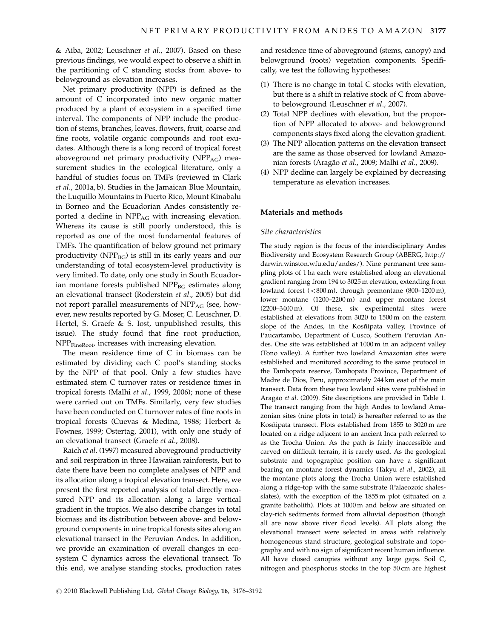& Aiba, 2002; Leuschner et al., 2007). Based on these previous findings, we would expect to observe a shift in the partitioning of C standing stocks from above- to belowground as elevation increases.

Net primary productivity (NPP) is defined as the amount of C incorporated into new organic matter produced by a plant of ecosystem in a specified time interval. The components of NPP include the production of stems, branches, leaves, flowers, fruit, coarse and fine roots, volatile organic compounds and root exudates. Although there is a long record of tropical forest aboveground net primary productivity (NPP<sub>AG</sub>) measurement studies in the ecological literature, only a handful of studies focus on TMFs (reviewed in Clark et al., 2001a, b). Studies in the Jamaican Blue Mountain, the Luquillo Mountains in Puerto Rico, Mount Kinabalu in Borneo and the Ecuadorian Andes consistently reported a decline in NPP<sub>AG</sub> with increasing elevation. Whereas its cause is still poorly understood, this is reported as one of the most fundamental features of TMFs. The quantification of below ground net primary productivity ( $NPP_{BG}$ ) is still in its early years and our understanding of total ecosystem-level productivity is very limited. To date, only one study in South Ecuadorian montane forests published  $NPP_{BG}$  estimates along an elevational transect (Roderstein et al., 2005) but did not report parallel measurements of  $NPP_{AG}$  (see, however, new results reported by G. Moser, C. Leuschner, D. Hertel, S. Graefe & S. Iost, unpublished results, this issue). The study found that fine root production, NPP<sub>FineRoot</sub>, increases with increasing elevation.

The mean residence time of C in biomass can be estimated by dividing each C pool's standing stocks by the NPP of that pool. Only a few studies have estimated stem C turnover rates or residence times in tropical forests (Malhi et al., 1999, 2006); none of these were carried out on TMFs. Similarly, very few studies have been conducted on C turnover rates of fine roots in tropical forests (Cuevas & Medina, 1988; Herbert & Fownes, 1999; Ostertag, 2001), with only one study of an elevational transect (Graefe et al., 2008).

Raich et al. (1997) measured aboveground productivity and soil respiration in three Hawaiian rainforests, but to date there have been no complete analyses of NPP and its allocation along a tropical elevation transect. Here, we present the first reported analysis of total directly measured NPP and its allocation along a large vertical gradient in the tropics. We also describe changes in total biomass and its distribution between above- and belowground components in nine tropical forests sites along an elevational transect in the Peruvian Andes. In addition, we provide an examination of overall changes in ecosystem C dynamics across the elevational transect. To this end, we analyse standing stocks, production rates

and residence time of aboveground (stems, canopy) and belowground (roots) vegetation components. Specifically, we test the following hypotheses:

- (1) There is no change in total C stocks with elevation, but there is a shift in relative stock of C from aboveto belowground (Leuschner et al., 2007).
- (2) Total NPP declines with elevation, but the proportion of NPP allocated to above- and belowground components stays fixed along the elevation gradient.
- (3) The NPP allocation patterns on the elevation transect are the same as those observed for lowland Amazonian forests (Aragão et al., 2009; Malhi et al., 2009).
- (4) NPP decline can largely be explained by decreasing temperature as elevation increases.

### Materials and methods

#### Site characteristics

The study region is the focus of the interdisciplinary Andes Biodiversity and Ecosystem Research Group (ABERG, [http://](http://darwin.winston.wfu.edu/andes/) [darwin.winston.wfu.edu/andes/\). Nine permanent tree sam](http://darwin.winston.wfu.edu/andes/)[pling plots of 1 ha each were established along an elevational](http://darwin.winston.wfu.edu/andes/) [gradient ranging from 194 to 3025 m elevation, extending from](http://darwin.winston.wfu.edu/andes/) lowland forest  $(<800 \text{ m})$ , through premontane  $(800-1200 \text{ m})$ , [lower montane \(1200–2200 m\) and upper montane forest](http://darwin.winston.wfu.edu/andes/) [\(2200–3400 m\). Of these, six experimental sites were](http://darwin.winston.wfu.edu/andes/) [established at elevations from 3020 to 1500 m on the eastern](http://darwin.winston.wfu.edu/andes/) slope of the Andes, in the Kosñipata valley, Province of [Paucartambo, Department of Cusco, Southern Peruvian An](http://darwin.winston.wfu.edu/andes/)[des. One site was established at 1000 m in an adjacent valley](http://darwin.winston.wfu.edu/andes/) [\(Tono valley\). A further two lowland Amazonian sites were](http://darwin.winston.wfu.edu/andes/) [established and monitored according to the same protocol in](http://darwin.winston.wfu.edu/andes/) [the Tambopata reserve, Tambopata Province, Department of](http://darwin.winston.wfu.edu/andes/) [Madre de Dios, Peru, approximately 244 km east of the main](http://darwin.winston.wfu.edu/andes/) [transect. Data from these two lowland sites were published in](http://darwin.winston.wfu.edu/andes/) Aragão et al[. \(2009\). Site descriptions are provided in Table 1.](http://darwin.winston.wfu.edu/andes/) [The transect ranging from the high Andes to lowland Ama](http://darwin.winston.wfu.edu/andes/)[zonian sites \(nine plots in total\) is hereafter referred to as the](http://darwin.winston.wfu.edu/andes/) Kosñipata transect. Plots established from 1855 to 3020 m are [located on a ridge adjacent to an ancient Inca path referred to](http://darwin.winston.wfu.edu/andes/) [as the Trocha Union. As the path is fairly inaccessible and](http://darwin.winston.wfu.edu/andes/) [carved on difficult terrain, it is rarely used. As the geological](http://darwin.winston.wfu.edu/andes/) [substrate and topographic position can have a significant](http://darwin.winston.wfu.edu/andes/) [bearing on montane forest dynamics \(Takyu](http://darwin.winston.wfu.edu/andes/) et al., 2002), all [the montane plots along the Trocha Union were established](http://darwin.winston.wfu.edu/andes/) [along a ridge-top with the same substrate \(Palaeozoic shales](http://darwin.winston.wfu.edu/andes/)[slates\), with the exception of the 1855 m plot \(situated on a](http://darwin.winston.wfu.edu/andes/) [granite batholith\). Plots at 1000 m and below are situated on](http://darwin.winston.wfu.edu/andes/) [clay-rich sediments formed from alluvial deposition \(though](http://darwin.winston.wfu.edu/andes/) [all are now above river flood levels\). All plots along the](http://darwin.winston.wfu.edu/andes/) [elevational transect were selected in areas with relatively](http://darwin.winston.wfu.edu/andes/) [homogeneous stand structure, geological substrate and topo](http://darwin.winston.wfu.edu/andes/)[graphy and with no sign of significant recent human influence.](http://darwin.winston.wfu.edu/andes/) [All have closed canopies without any large gaps. Soil C,](http://darwin.winston.wfu.edu/andes/) [nitrogen and phosphorus stocks in the top 50 cm are highest](http://darwin.winston.wfu.edu/andes/)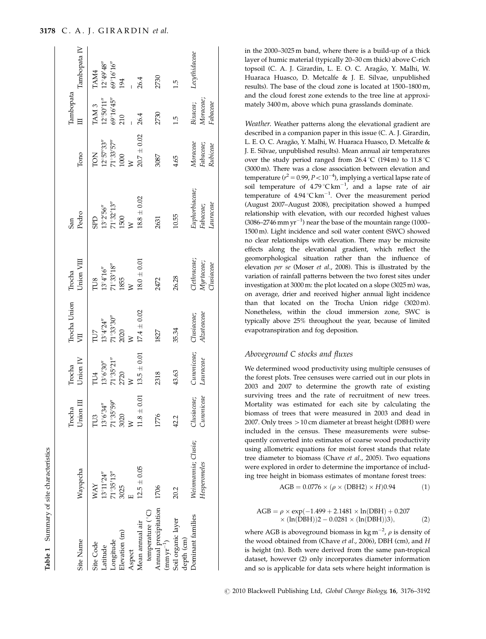| Site Name                                                   | Wayqecha            | Union III<br>Trocha | Union IV<br>Irocha          | Trocha Union<br>Ę  | Union VIII<br>Trocha                                        | Pedro<br>San                                                                                                                 | Tono                                                     | Tambopata                               | Tambopata IV                  |
|-------------------------------------------------------------|---------------------|---------------------|-----------------------------|--------------------|-------------------------------------------------------------|------------------------------------------------------------------------------------------------------------------------------|----------------------------------------------------------|-----------------------------------------|-------------------------------|
| Site Code                                                   | <b>NAY</b>          | TU3                 | LU4                         | TU7                |                                                             | GGS                                                                                                                          | <b>NOJ</b>                                               | TAM <sub>3</sub>                        | TAM4                          |
| Latitude                                                    | $13^{\circ}11'24''$ | $13^{\circ}6'34''$  | $13^{\circ}6'30''$          | $13^{\circ}4'24''$ | $\begin{array}{ll} \rm TUS \\ 13^{\circ}4'16'' \end{array}$ |                                                                                                                              |                                                          | $12^{\circ}50'11''$ $69^{\circ}16'45''$ |                               |
| Longitude                                                   | $71^{\circ}35'13''$ | 71°35'59"           |                             | 71°33'30''         | $71°33'18"$<br>1855                                         | $\begin{array}{l} 13^{ \circ}2^{ \prime}56^{ \prime\prime} \\ 71^{ \circ}32^{ \prime}13^{ \prime\prime} \\ 1500 \end{array}$ |                                                          |                                         | $12^{\circ}49'48''$ 69°16'16" |
| Elevation (m)                                               | 3025                | 3020<br>W           | $71^{\circ}35'21''$<br>2720 | 2020               |                                                             |                                                                                                                              | $12^{\circ}57'33''$<br>71 $^{\circ}33'57''$<br>1000<br>W | 210                                     | 194                           |
| Aspect                                                      |                     |                     |                             |                    |                                                             |                                                                                                                              |                                                          |                                         |                               |
| Mean annual air                                             | $12.5 \pm 0.05$     | $11.8\pm0.01$       | $13.5\pm0.01$               | $17.4 \pm 0.02$    | $18.0 \pm 0.01$                                             | $18.8\pm0.02$                                                                                                                | $20.7\,\pm\,0.02$                                        | 26.4                                    | 26.4                          |
| temperature (°C)                                            |                     |                     |                             |                    |                                                             |                                                                                                                              |                                                          |                                         |                               |
| Annual precipitation<br>$\left(\min\mathrm{yr}^{-1}\right)$ | 1706                | 1776                | 2318                        | 1827               | 2472                                                        | 2631                                                                                                                         | 3087                                                     | 2730                                    | 2730                          |
| Soil organic layer<br>depth (cm)                            | 20.2                | 42.2                | 43.63                       | 35.34              | 26.28                                                       | 10.55                                                                                                                        | 4.65                                                     | ī.j                                     | 1.5                           |
| Dominant families                                           | Weinmannia; Clusia; | Clusiaceae;         | Cunoniceae;                 | Clusiaceae;        | Clethraceae;                                                | Euphorbiaceae;<br>Fabaceae;                                                                                                  | Moraceae                                                 | Bixacea;                                | Lecythidaceae                 |
|                                                             | Hesperomeles        | Cunoniceae          | Lauraceae                   | Alzateaceae        | Myrtaceae;<br>$_{Thisiaceae}$                               | Lauraceae                                                                                                                    | Fabaceae;<br>Rubiceae                                    | Moraceae;<br>Fabaceae                   |                               |

Table 1 Summary of site characteristics

Summary of site characteristics

[in the 2000–3025 m band, where there is a build-up of a thick](http://darwin.winston.wfu.edu/andes/) [layer of humic material \(typically 20–30 cm thick\) above C-rich](http://darwin.winston.wfu.edu/andes/) topsoil (C. A. J. Girardin, L. E. O. C. Aragão, Y. Malhi, W. [Huaraca Huasco, D. Metcalfe & J. E. Silvae, unpublished](http://darwin.winston.wfu.edu/andes/) [results\). The base of the cloud zone is located at 1500–1800 m,](http://darwin.winston.wfu.edu/andes/) [and the cloud forest zone extends to the tree line at approxi](http://darwin.winston.wfu.edu/andes/)[mately 3400 m, above which puna grasslands dominate.](http://darwin.winston.wfu.edu/andes/)

Weather. Weather patterns along the elevational gradient are described in a companion paper in this issue (C. A. J. Girardin, L. E. O. C. Aragão, Y. Malhi, W. Huaraca Huasco, D. Metcalfe & J. E. Silvae, unpublished results). Mean annual air temperatures over the study period ranged from  $26.4 \degree C$  (194 m) to  $11.8 \degree C$ (3000 m). There was a close association between elevation and temperature ( $r^2 = 0.99$ ,  $P < 10^{-4}$ ), implying a vertical lapse rate of soil temperature of  $4.79 \degree C \text{ km}^{-1}$ , and a lapse rate of air temperature of  $4.94 \degree C \text{ km}^{-1}$ . Over the measurement period (August 2007–August 2008), precipitation showed a humped relationship with elevation, with our recorded highest values  $(3086 - 2746 \text{ mm yr}^{-1})$  near the base of the mountain range  $(1000 -$ 1500 m). Light incidence and soil water content (SWC) showed no clear relationships with elevation. There may be microsite effects along the elevational gradient, which reflect the geomorphological situation rather than the influence of elevation per se (Moser et al., 2008). This is illustrated by the variation of rainfall patterns between the two forest sites under investigation at 3000 m: the plot located on a slope (3025 m) was, on average, drier and received higher annual light incidence than that located on the Trocha Union ridge (3020 m). Nonetheless, within the cloud immersion zone, SWC is typically above 25% throughout the year, because of limited evapotranspiration and fog deposition.

## Aboveground C stocks and fluxes

We determined wood productivity using multiple censuses of the forest plots. Tree censuses were carried out in our plots in 2003 and 2007 to determine the growth rate of existing surviving trees and the rate of recruitment of new trees. Mortality was estimated for each site by calculating the biomass of trees that were measured in 2003 and dead in 2007. Only trees  $>10$  cm diameter at breast height (DBH) were included in the census. These measurements were subsequently converted into estimates of coarse wood productivity using allometric equations for moist forest stands that relate tree diameter to biomass (Chave et al., 2005). Two equations were explored in order to determine the importance of including tree height in biomass estimates of montane forest trees:

$$
AGB = 0.0776 \times (\rho \times (DBH2) \times H)0.94 \tag{1}
$$

$$
AGB = \rho \times \exp(-1.499 + 2.1481 \times \ln(DBH) + 0.207
$$
  
× (ln(DBH))2 – 0.0281 × (ln(DBH))3), (2)

where AGB is aboveground biomass in  $\text{kg m}^{-2}$ ,  $\rho$  is density of the wood obtained from (Chave et al., 2006), DBH (cm), and H is height (m). Both were derived from the same pan-tropical dataset, however (2) only incorporates diameter information and so is applicable for data sets where height information is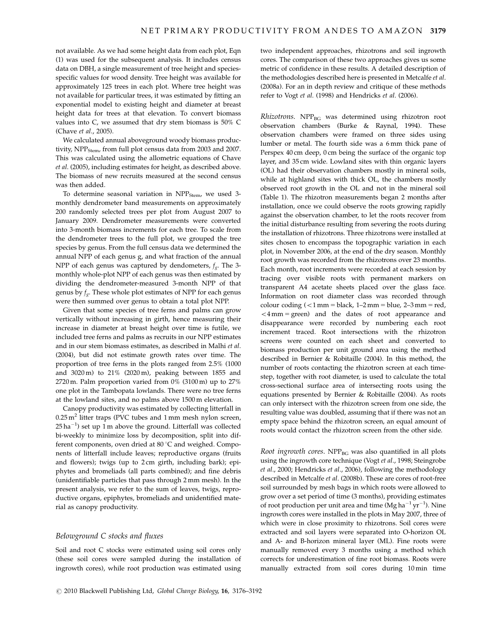not available. As we had some height data from each plot, Eqn (1) was used for the subsequent analysis. It includes census data on DBH, a single measurement of tree height and speciesspecific values for wood density. Tree height was available for approximately 125 trees in each plot. Where tree height was not available for particular trees, it was estimated by fitting an exponential model to existing height and diameter at breast height data for trees at that elevation. To convert biomass values into C, we assumed that dry stem biomass is 50% C (Chave et al., 2005).

We calculated annual aboveground woody biomass productivity,  $NPP<sub>Stem</sub>$  from full plot census data from 2003 and 2007. This was calculated using the allometric equations of Chave et al. (2005), including estimates for height, as described above. The biomass of new recruits measured at the second census was then added.

To determine seasonal variation in  $NPP<sub>Stem</sub>$ , we used 3monthly dendrometer band measurements on approximately 200 randomly selected trees per plot from August 2007 to January 2009. Dendrometer measurements were converted into 3-month biomass increments for each tree. To scale from the dendrometer trees to the full plot, we grouped the tree species by genus. From the full census data we determined the annual NPP of each genus g, and what fraction of the annual NPP of each genus was captured by dendometers,  $f_g$ . The 3monthly whole-plot NPP of each genus was then estimated by dividing the dendrometer-measured 3-month NPP of that genus by  $f_g$ . These whole plot estimates of NPP for each genus were then summed over genus to obtain a total plot NPP.

Given that some species of tree ferns and palms can grow vertically without increasing in girth, hence measuring their increase in diameter at breast height over time is futile, we included tree ferns and palms as recruits in our NPP estimates and in our stem biomass estimates, as described in Malhi et al. (2004), but did not estimate growth rates over time. The proportion of tree ferns in the plots ranged from 2.5% (1000 and 3020 m) to 21% (2020 m), peaking between 1855 and 2720 m. Palm proportion varied from 0% (3100 m) up to 27% one plot in the Tambopata lowlands. There were no tree ferns at the lowland sites, and no palms above 1500 m elevation.

Canopy productivity was estimated by collecting litterfall in  $0.25$  m<sup>2</sup> litter traps (PVC tubes and 1 mm mesh nylon screen,  $25$  ha<sup>-1</sup>) set up 1 m above the ground. Litterfall was collected bi-weekly to minimize loss by decomposition, split into different components, oven dried at  $80^{\circ}$ C and weighed. Components of litterfall include leaves; reproductive organs (fruits and flowers); twigs (up to 2 cm girth, including bark); epiphytes and bromeliads (all parts combined); and fine debris (unidentifiable particles that pass through 2 mm mesh). In the present analysis, we refer to the sum of leaves, twigs, reproductive organs, epiphytes, bromeliads and unidentified material as canopy productivity.

## Belowground C stocks and fluxes

Soil and root C stocks were estimated using soil cores only (these soil cores were sampled during the installation of ingrowth cores), while root production was estimated using two independent approaches, rhizotrons and soil ingrowth cores. The comparison of these two approaches gives us some metric of confidence in these results. A detailed description of the methodologies described here is presented in Metcalfe et al. (2008a). For an in depth review and critique of these methods refer to Vogt et al. (1998) and Hendricks et al. (2006).

 $Rhizotrons$ . NPP<sub>BG</sub> was determined using rhizotron root observation chambers (Burke & Raynal, 1994). These observation chambers were framed on three sides using lumber or metal. The fourth side was a 6 mm thick pane of Perspex 40 cm deep, 0 cm being the surface of the organic top layer, and 35 cm wide. Lowland sites with thin organic layers (OL) had their observation chambers mostly in mineral soils, while at highland sites with thick OL, the chambers mostly observed root growth in the OL and not in the mineral soil (Table 1). The rhizotron measurements began 2 months after installation, once we could observe the roots growing rapidly against the observation chamber, to let the roots recover from the initial disturbance resulting from severing the roots during the installation of rhizotrons. Three rhizotrons were installed at sites chosen to encompass the topographic variation in each plot, in November 2006, at the end of the dry season. Monthly root growth was recorded from the rhizotrons over 23 months. Each month, root increments were recorded at each session by tracing over visible roots with permanent markers on transparent A4 acetate sheets placed over the glass face. Information on root diameter class was recorded through colour coding  $\left($  < 1 mm = black, 1–2 mm = blue, 2–3 mm = red,  $<$ 4 mm = green) and the dates of root appearance and disappearance were recorded by numbering each root increment traced. Root intersections with the rhizotron screens were counted on each sheet and converted to biomass production per unit ground area using the method described in Bernier & Robitaille (2004). In this method, the number of roots contacting the rhizotron screen at each timestep, together with root diameter, is used to calculate the total cross-sectional surface area of intersecting roots using the equations presented by Bernier & Robitaille (2004). As roots can only intersect with the rhizotron screen from one side, the resulting value was doubled, assuming that if there was not an empty space behind the rhizotron screen, an equal amount of roots would contact the rhizotron screen from the other side.

Root ingrowth cores.  $NPP_{BG}$  was also quantified in all plots using the ingrowth core technique (Vogt et al., 1998; Steingrobe et al., 2000; Hendricks et al., 2006), following the methodology described in Metcalfe et al. (2008b). These are cores of root-free soil surrounded by mesh bags in which roots were allowed to grow over a set period of time (3 months), providing estimates of root production per unit area and time (Mg ha<sup>-1</sup> yr<sup>-1</sup>). Nine ingrowth cores were installed in the plots in May 2007, three of which were in close proximity to rhizotrons. Soil cores were extracted and soil layers were separated into O-horizon OL and A- and B-horizon mineral layer (ML). Fine roots were manually removed every 3 months using a method which corrects for underestimation of fine root biomass. Roots were manually extracted from soil cores during 10 min time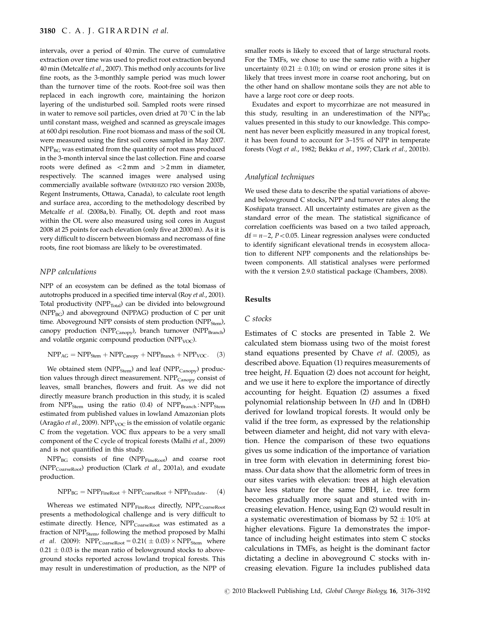## 3180 C. A. J. GIRARDIN et al.

intervals, over a period of 40 min. The curve of cumulative extraction over time was used to predict root extraction beyond 40 min (Metcalfe et al., 2007). This method only accounts for live fine roots, as the 3-monthly sample period was much lower than the turnover time of the roots. Root-free soil was then replaced in each ingrowth core, maintaining the horizon layering of the undisturbed soil. Sampled roots were rinsed in water to remove soil particles, oven dried at 70  $\mathrm{C}$  in the lab until constant mass, weighed and scanned as greyscale images at 600 dpi resolution. Fine root biomass and mass of the soil OL were measured using the first soil cores sampled in May 2007.  $NPP_{BG}$  was estimated from the quantity of root mass produced in the 3-month interval since the last collection. Fine and coarse roots were defined as  $\langle 2 \text{mm} \rangle$  and  $>2 \text{mm}$  in diameter, respectively. The scanned images were analysed using commercially available software (WINRHIZO PRO version 2003b, Regent Instruments, Ottawa, Canada), to calculate root length and surface area, according to the methodology described by Metcalfe et al. (2008a, b). Finally, OL depth and root mass within the OL were also measured using soil cores in August 2008 at 25 points for each elevation (only five at 2000 m). As it is very difficult to discern between biomass and necromass of fine roots, fine root biomass are likely to be overestimated.

## NPP calculations

NPP of an ecosystem can be defined as the total biomass of autotrophs produced in a specified time interval (Roy et al., 2001). Total productivity ( $NPP_{Total}$ ) can be divided into belowground ( $NPP_{BG}$ ) and aboveground ( $NPPAG$ ) production of C per unit time. Aboveground NPP consists of stem production (NPP<sub>Stem</sub>), canopy production (NPP<sub>Canopy</sub>), branch turnover (NPP<sub>Branch</sub>) and volatile organic compound production (NPP<sub>VOC</sub>).

$$
NPP_{AG} = NPP_{Stem} + NPP_{Canopy} + NPP_{Branch} + NPP_{VOC}.
$$
 (3)

We obtained stem ( $NPP<sub>Stem</sub>$ ) and leaf ( $NPP<sub>Canopy</sub>$ ) production values through direct measurement. NPP<sub>Canopy</sub> consist of leaves, small branches, flowers and fruit. As we did not directly measure branch production in this study, it is scaled from  $NPP<sub>Stem</sub>$  using the ratio (0.4) of  $NPP<sub>Branch</sub>$ :  $NPP<sub>Stem</sub>$ estimated from published values in lowland Amazonian plots (Aragão et al., 2009). NPP<sub>VOC</sub> is the emission of volatile organic C from the vegetation. VOC flux appears to be a very small component of the C cycle of tropical forests (Malhi et al., 2009) and is not quantified in this study.

NPP<sub>BG</sub> consists of fine (NPP<sub>FineRoot</sub>) and coarse root (NPPCoarseRoot) production (Clark et al., 2001a), and exudate production.

$$
NPP_{BG} = NPP_{FineRoot} + NPP_{CoarseRoot} + NPP_{Exudate}. \quad (4)
$$

Whereas we estimated  $\text{NPP}_{\text{FineRoot}}$  directly,  $\text{NPP}_{\text{CoarseRoot}}$ presents a methodological challenge and is very difficult to estimate directly. Hence, NPP<sub>CoarseRoot</sub> was estimated as a fraction of NPP<sub>Stem</sub>, following the method proposed by Malhi *et al.* (2009):  $NPP_{\text{CoarseRoot}} = 0.21(\pm 0.03) \times NPP_{\text{Stem}}$  where  $0.21 \pm 0.03$  is the mean ratio of belowground stocks to aboveground stocks reported across lowland tropical forests. This may result in underestimation of production, as the NPP of smaller roots is likely to exceed that of large structural roots. For the TMFs, we chose to use the same ratio with a higher uncertainty (0.21  $\pm$  0.10); on wind or erosion prone sites it is likely that trees invest more in coarse root anchoring, but on the other hand on shallow montane soils they are not able to have a large root core or deep roots.

Exudates and export to mycorrhizae are not measured in this study, resulting in an underestimation of the  $NPP_{BG}$ values presented in this study to our knowledge. This component has never been explicitly measured in any tropical forest, it has been found to account for 3–15% of NPP in temperate forests (Vogt et al., 1982; Bekku et al., 1997; Clark et al., 2001b).

## Analytical techniques

We used these data to describe the spatial variations of aboveand belowground C stocks, NPP and turnover rates along the Kosñipata transect. All uncertainty estimates are given as the standard error of the mean. The statistical significance of correlation coefficients was based on a two tailed approach,  $df = n-2$ ,  $P < 0.05$ . Linear regression analyses were conducted to identify significant elevational trends in ecosystem allocation to different NPP components and the relationships between components. All statistical analyses were performed with the R version 2.9.0 statistical package (Chambers, 2008).

#### Results

## C stocks

Estimates of C stocks are presented in Table 2. We calculated stem biomass using two of the moist forest stand equations presented by Chave et al. (2005), as described above. Equation (1) requires measurements of tree height, H. Equation (2) does not account for height, and we use it here to explore the importance of directly accounting for height. Equation (2) assumes a fixed polynomial relationship between ln (H) and ln (DBH) derived for lowland tropical forests. It would only be valid if the tree form, as expressed by the relationship between diameter and height, did not vary with elevation. Hence the comparison of these two equations gives us some indication of the importance of variation in tree form with elevation in determining forest biomass. Our data show that the allometric form of trees in our sites varies with elevation: trees at high elevation have less stature for the same DBH, i.e. tree form becomes gradually more squat and stunted with increasing elevation. Hence, using Eqn (2) would result in a systematic overestimation of biomass by  $52 \pm 10\%$  at higher elevations. Figure 1a demonstrates the importance of including height estimates into stem C stocks calculations in TMFs, as height is the dominant factor dictating a decline in aboveground C stocks with increasing elevation. Figure 1a includes published data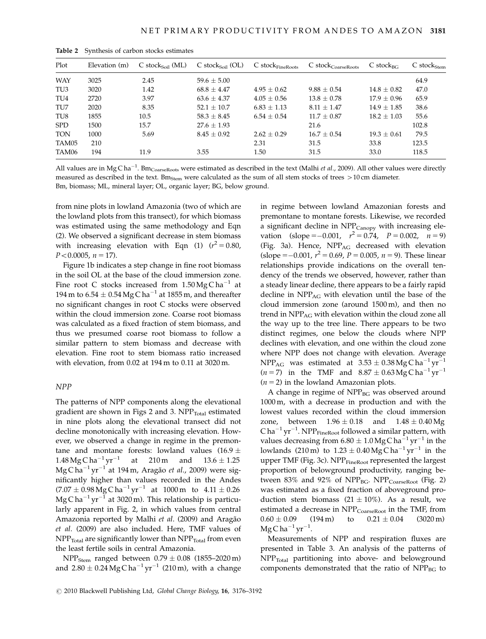| Plot            | Elevation (m) | $C$ stocks <sub>oil</sub> (ML) | $C$ stocks <sub>oil</sub> (OL) | $C$ stock $F_{\text{fineRoots}}$ | $C 5 stockCoarseRoots$ | $C$ stock <sub>BC</sub> | $C$ stock $_{Stem}$ |
|-----------------|---------------|--------------------------------|--------------------------------|----------------------------------|------------------------|-------------------------|---------------------|
| <b>WAY</b>      | 3025          | 2.45                           | $59.6 \pm 5.00$                |                                  |                        |                         | 64.9                |
| TU3             | 3020          | 1.42                           | $68.8 + 4.47$                  | $4.95 + 0.62$                    | $9.88 + 0.54$          | $14.8 + 0.82$           | 47.0                |
| TU <sub>4</sub> | 2720          | 3.97                           | $63.6 + 4.37$                  | $4.05 + 0.56$                    | $13.8 + 0.78$          | $17.9 \pm 0.96$         | 65.9                |
| TU7             | 2020          | 8.35                           | $52.1 + 10.7$                  | $6.83 + 1.13$                    | $8.11 + 1.47$          | $14.9 + 1.85$           | 38.6                |
| TU8             | 1855          | 10.5                           | $58.3 + 8.45$                  | $6.54 + 0.54$                    | $11.7 + 0.87$          | $18.2 + 1.03$           | 55.6                |
| <b>SPD</b>      | 1500          | 15.7                           | $27.6 + 1.93$                  |                                  | 21.6                   |                         | 102.8               |
| <b>TON</b>      | 1000          | 5.69                           | $8.45 + 0.92$                  | $2.62 + 0.29$                    | $16.7 + 0.54$          | $19.3 + 0.61$           | 79.5                |
| TAM05           | 210           |                                |                                | 2.31                             | 31.5                   | 33.8                    | 123.5               |
| TAM06           | 194           | 11.9                           | 3.55                           | 1.50                             | 31.5                   | 33.0                    | 118.5               |

Table 2 Synthesis of carbon stocks estimates

All values are in Mg Cha<sup>-1</sup>. Bm<sub>CoarseRoots</sub> were estimated as described in the text (Malhi *et al.*, 2009). All other values were directly measured as described in the text. Bm<sub>Stem</sub> were calculated as the sum of all stem stocks of trees  $>10$  cm diameter. Bm, biomass; ML, mineral layer; OL, organic layer; BG, below ground.

from nine plots in lowland Amazonia (two of which are the lowland plots from this transect), for which biomass was estimated using the same methodology and Eqn (2). We observed a significant decrease in stem biomass with increasing elevation with Eqn (1)  $(r^2 = 0.80)$ ,  $P < 0.0005$ ,  $n = 17$ ).

Figure 1b indicates a step change in fine root biomass in the soil OL at the base of the cloud immersion zone. Fine root C stocks increased from  $1.50 \text{Mg C} \text{h} \text{a}^{-1}$  at 194 m to  $6.54 \pm 0.54$  Mg C ha<sup>-1</sup> at 1855 m, and thereafter no significant changes in root C stocks were observed within the cloud immersion zone. Coarse root biomass was calculated as a fixed fraction of stem biomass, and thus we presumed coarse root biomass to follow a similar pattern to stem biomass and decrease with elevation. Fine root to stem biomass ratio increased with elevation, from 0.02 at 194 m to 0.11 at 3020 m.

# NPP

The patterns of NPP components along the elevational gradient are shown in Figs 2 and 3.  $NPP_{\text{Total}}$  estimated in nine plots along the elevational transect did not decline monotonically with increasing elevation. However, we observed a change in regime in the premontane and montane forests: lowland values  $(16.9 \pm$ 1.48 Mg C ha<sup>-1</sup> yr<sup>-1</sup> at 210 m and 13.6  $\pm$  1.25  $\rm Mg\, C\, ha^{-1}\, yr^{-1}$  at 194 m, Aragão *et al.,* 2009) were significantly higher than values recorded in the Andes  $(7.07 \pm 0.98 \,\text{Mg} \,\text{C} \,\text{ha}^{-1} \,\text{yr}^{-1}$  at 1000 m to  $4.11 \pm 0.26$  $\rm Mg\, C\, ha^{-1}\, yr^{-1}$  at 3020 m). This relationship is particularly apparent in Fig. 2, in which values from central Amazonia reported by Malhi et al. (2009) and Aragão et al. (2009) are also included. Here, TMF values of  $NPP<sub>Total</sub>$  are significantly lower than  $NPP<sub>Total</sub>$  from even the least fertile soils in central Amazonia.

 $NPP<sub>Stem</sub>$  ranged between  $0.79 \pm 0.08$  (1855–2020 m) and 2.80  $\pm$  0.24 Mg C ha<sup>-1</sup> yr<sup>-1</sup> (210 m), with a change

in regime between lowland Amazonian forests and premontane to montane forests. Likewise, we recorded a significant decline in NPP<sub>Canopy</sub> with increasing elevation (slope = -0.001,  $r^2 = 0.74$ ,  $P = 0.002$ ,  $n = 9$ ) (Fig. 3a). Hence, NPP<sub>AG</sub> decreased with elevation (slope =  $-0.001$ ,  $r^2 = 0.69$ ,  $P = 0.005$ ,  $n = 9$ ). These linear relationships provide indications on the overall tendency of the trends we observed, however, rather than a steady linear decline, there appears to be a fairly rapid decline in NPP<sub>AG</sub> with elevation until the base of the cloud immersion zone (around 1500 m), and then no trend in  $NPP_{AG}$  with elevation within the cloud zone all the way up to the tree line. There appears to be two distinct regimes, one below the clouds where NPP declines with elevation, and one within the cloud zone where NPP does not change with elevation. Average  $NPP_{AG}$  was estimated at  $3.53 \pm 0.38$  MgC ha<sup>-1</sup> yr<sup>-1</sup>  $(n=7)$  in the TMF and  $8.87 \pm 0.63$  MgC ha<sup>-1</sup> yr<sup>-1</sup>  $(n = 2)$  in the lowland Amazonian plots.

A change in regime of NPP<sub>BG</sub> was observed around 1000 m, with a decrease in production and with the lowest values recorded within the cloud immersion zone, between  $1.96 \pm 0.18$  and  $1.48 \pm 0.40$  Mg  $Cha^{-1}yr^{-1}$ . NPP $_{\text{FineRoot}}$  followed a similar pattern, with values decreasing from  $6.80 \pm 1.0$  Mg C ha<sup>-1</sup> yr<sup>-1</sup> in the lowlands (210 m) to  $1.23 \pm 0.40$  Mg C ha<sup>-1</sup> yr<sup>-1</sup> in the upper TMF (Fig. 3c). NPP<sub>FineRoot</sub> represented the largest proportion of belowground productivity, ranging between  $83\%$  and  $92\%$  of NPP<sub>BG</sub>. NPP<sub>CoarseRoot</sub> (Fig. 2) was estimated as a fixed fraction of aboveground production stem biomass  $(21 \pm 10\%)$ . As a result, we estimated a decrease in NPP<sub>CoarseRoot</sub> in the TMF, from  $0.60 \pm 0.09$  (194 m) to  $0.21 \pm 0.04$  (3020 m)  $MgC$  ha $^{-1}$  yr $^{-1}$ .

Measurements of NPP and respiration fluxes are presented in Table 3. An analysis of the patterns of NPP<sub>Total</sub> partitioning into above- and belowground components demonstrated that the ratio of NPP<sub>BG</sub> to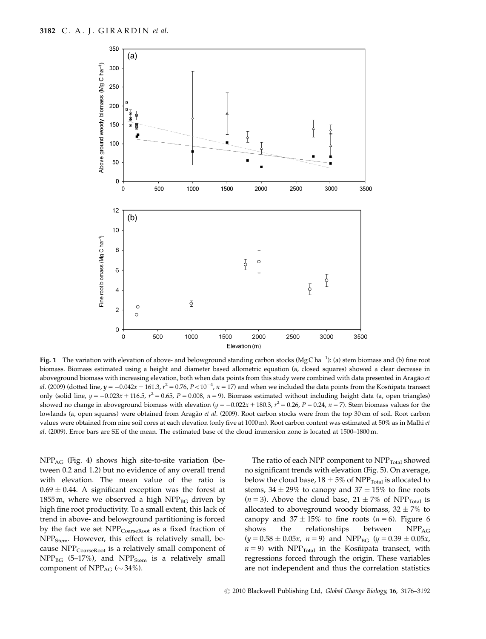

**Fig. 1** The variation with elevation of above- and belowground standing carbon stocks (MgCha<sup>-1</sup>): (a) stem biomass and (b) fine root biomass. Biomass estimated using a height and diameter based allometric equation (a, closed squares) showed a clear decrease in aboveground biomass with increasing elevation, both when data points from this study were combined with data presented in Aragão et al. (2009) (dotted line,  $y = -0.042x + 161.3$ ,  $r^2 = 0.76$ ,  $P < 10^{-4}$ ,  $n = 17$ ) and when we included the data points from the Kosñipata transect only (solid line,  $y = -0.023x + 116.5$ ,  $r^2 = 0.65$ ,  $P = 0.008$ ,  $n = 9$ ). Biomass estimated without including height data (a, open triangles) showed no change in aboveground biomass with elevation ( $y = -0.022x + 180.3$ ,  $r^2 = 0.26$ ,  $P = 0.24$ ,  $n = 7$ ). Stem biomass values for the lowlands (a, open squares) were obtained from Aragão et al. (2009). Root carbon stocks were from the top 30 cm of soil. Root carbon values were obtained from nine soil cores at each elevation (only five at 1000 m). Root carbon content was estimated at 50% as in Malhi et al. (2009). Error bars are SE of the mean. The estimated base of the cloud immersion zone is located at 1500–1800 m.

NPPAG (Fig. 4) shows high site-to-site variation (between 0.2 and 1.2) but no evidence of any overall trend with elevation. The mean value of the ratio is  $0.69 \pm 0.44$ . A significant exception was the forest at 1855 m, where we observed a high  $NPP_{BG}$  driven by high fine root productivity. To a small extent, this lack of trend in above- and belowground partitioning is forced by the fact we set NPP<sub>CoarseRoot</sub> as a fixed fraction of NPP<sub>Stem</sub>. However, this effect is relatively small, because NPP<sub>CoarseRoot</sub> is a relatively small component of  $NPP_{BG}$  (5-17%), and  $NPP_{Stem}$  is a relatively small component of NPP<sub>AG</sub> ( $\sim$  34%).

The ratio of each NPP component to  $NPP_{\text{Total}}$  showed no significant trends with elevation (Fig. 5). On average, below the cloud base,  $18 \pm 5\%$  of NPP<sub>Total</sub> is allocated to stems,  $34 \pm 29\%$  to canopy and  $37 \pm 15\%$  to fine roots  $(n = 3)$ . Above the cloud base,  $21 \pm 7\%$  of NPP<sub>Total</sub> is allocated to aboveground woody biomass,  $32 \pm 7\%$  to canopy and  $37 \pm 15\%$  to fine roots ( $n = 6$ ). Figure 6 shows the relationships between  $NPP_{AG}$  $(y = 0.58 \pm 0.05x, n = 9)$  and NPP<sub>BG</sub>  $(y = 0.39 \pm 0.05x,$  $n = 9$ ) with NPP<sub>Total</sub> in the Kosñipata transect, with regressions forced through the origin. These variables are not independent and thus the correlation statistics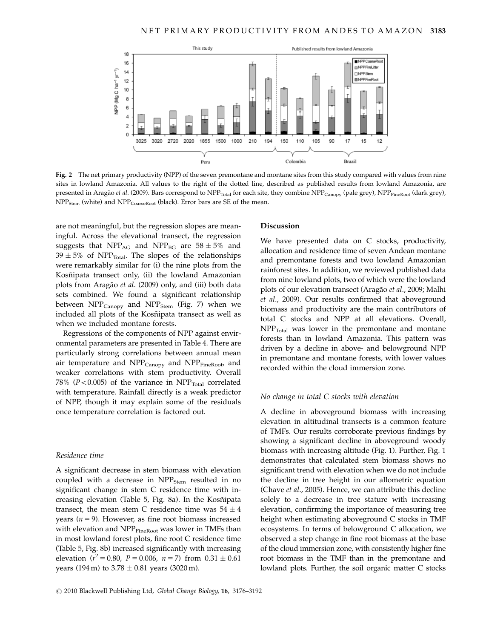

Fig. 2 The net primary productivity (NPP) of the seven premontane and montane sites from this study compared with values from nine sites in lowland Amazonia. All values to the right of the dotted line, described as published results from lowland Amazonia, are presented in Aragão et al. (2009). Bars correspond to  $NPP_{Total}$  for each site, they combine  $NPP_{Canopy}$  (pale grey),  $NPP_{FineRoot}$  (dark grey),  $NPP<sub>Stem</sub>$  (white) and  $NPP<sub>CoarseRoot</sub>$  (black). Error bars are SE of the mean.

are not meaningful, but the regression slopes are meaningful. Across the elevational transect, the regression suggests that NPP<sub>AG</sub> and NPP<sub>BG</sub> are  $58 \pm 5\%$  and  $39 \pm 5\%$  of NPP<sub>Total</sub>. The slopes of the relationships were remarkably similar for (i) the nine plots from the Kosñipata transect only, (ii) the lowland Amazonian plots from Aragão et al. (2009) only, and (iii) both data sets combined. We found a significant relationship between  $NPP_{Canopy}$  and  $NPP_{Stem}$  (Fig. 7) when we included all plots of the Kosñipata transect as well as when we included montane forests.

Regressions of the components of NPP against environmental parameters are presented in Table 4. There are particularly strong correlations between annual mean air temperature and  $NPP_{Canopy}$  and  $NPP_{FineRoot}$ , and weaker correlations with stem productivity. Overall 78% ( $P < 0.005$ ) of the variance in NPP<sub>Total</sub> correlated with temperature. Rainfall directly is a weak predictor of NPP, though it may explain some of the residuals once temperature correlation is factored out.

# Residence time

A significant decrease in stem biomass with elevation coupled with a decrease in  $NPP<sub>Stem</sub>$  resulted in no significant change in stem C residence time with increasing elevation (Table 5, Fig. 8a). In the Kosñipata transect, the mean stem C residence time was  $54 \pm 4$ years ( $n = 9$ ). However, as fine root biomass increased with elevation and NPP<sub>FineRoot</sub> was lower in TMFs than in most lowland forest plots, fine root C residence time (Table 5, Fig. 8b) increased significantly with increasing elevation ( $r^2 = 0.80$ ,  $P = 0.006$ ,  $n = 7$ ) from  $0.31 \pm 0.61$ years (194 m) to  $3.78 \pm 0.81$  years (3020 m).

## Discussion

We have presented data on C stocks, productivity, allocation and residence time of seven Andean montane and premontane forests and two lowland Amazonian rainforest sites. In addition, we reviewed published data from nine lowland plots, two of which were the lowland plots of our elevation transect (Aragão et al., 2009; Malhi et al., 2009). Our results confirmed that aboveground biomass and productivity are the main contributors of total C stocks and NPP at all elevations. Overall,  $NPP<sub>Total</sub>$  was lower in the premontane and montane forests than in lowland Amazonia. This pattern was driven by a decline in above- and belowground NPP in premontane and montane forests, with lower values recorded within the cloud immersion zone.

#### No change in total C stocks with elevation

A decline in aboveground biomass with increasing elevation in altitudinal transects is a common feature of TMFs. Our results corroborate previous findings by showing a significant decline in aboveground woody biomass with increasing altitude (Fig. 1). Further, Fig. 1 demonstrates that calculated stem biomass shows no significant trend with elevation when we do not include the decline in tree height in our allometric equation (Chave et al., 2005). Hence, we can attribute this decline solely to a decrease in tree stature with increasing elevation, confirming the importance of measuring tree height when estimating aboveground C stocks in TMF ecosystems. In terms of belowground C allocation, we observed a step change in fine root biomass at the base of the cloud immersion zone, with consistently higher fine root biomass in the TMF than in the premontane and lowland plots. Further, the soil organic matter C stocks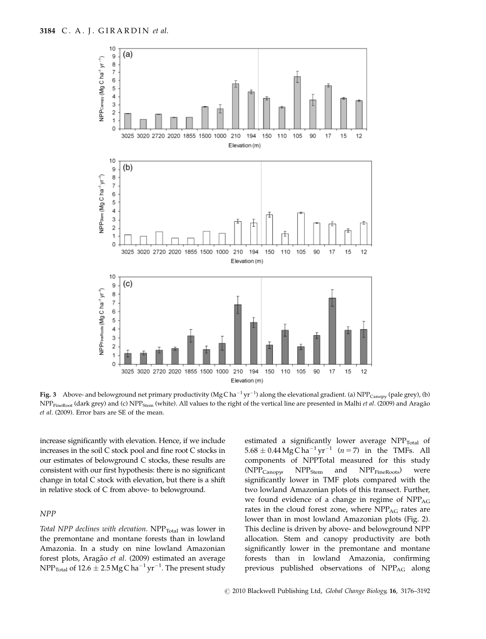

**Fig. 3** Above- and belowground net primary productivity (MgCha<sup>-1</sup> yr<sup>-1</sup>) along the elevational gradient. (a) NPP<sub>Canopy</sub> (pale grey), (b) NPP<sub>FineRoot</sub> (dark grey) and (c) NPP<sub>Stem</sub> (white). All values to the right of the vertical line are presented in Malhi *et al.* (2009) and Aragão et al. (2009). Error bars are SE of the mean

increase significantly with elevation. Hence, if we include increases in the soil C stock pool and fine root C stocks in our estimates of belowground C stocks, these results are consistent with our first hypothesis: there is no significant change in total C stock with elevation, but there is a shift in relative stock of C from above- to belowground.

## NPP

Total NPP declines with elevation.  $NPP_{Total}$  was lower in the premontane and montane forests than in lowland Amazonia. In a study on nine lowland Amazonian forest plots, Aragão et al. (2009) estimated an average  $\rm{NPP_{Total}}$  of 12.6  $\pm$  2.5 Mg C ha $^{-1}$  yr $^{-1}$ . The present study estimated a significantly lower average  $NPP_{\text{Total}}$  of  $5.68 \pm 0.44$  Mg C ha<sup>-1</sup> yr<sup>-1</sup> (*n* = 7) in the TMFs. All components of NPPTotal measured for this study  $(NPP_{Canopy}$   $NPP_{Stem}$  and  $NPP_{FineRoots}$  were significantly lower in TMF plots compared with the two lowland Amazonian plots of this transect. Further, we found evidence of a change in regime of NPP<sub>AG</sub> rates in the cloud forest zone, where NPP<sub>AG</sub> rates are lower than in most lowland Amazonian plots (Fig. 2). This decline is driven by above- and belowground NPP allocation. Stem and canopy productivity are both significantly lower in the premontane and montane forests than in lowland Amazonia, confirming previous published observations of NPP<sub>AG</sub> along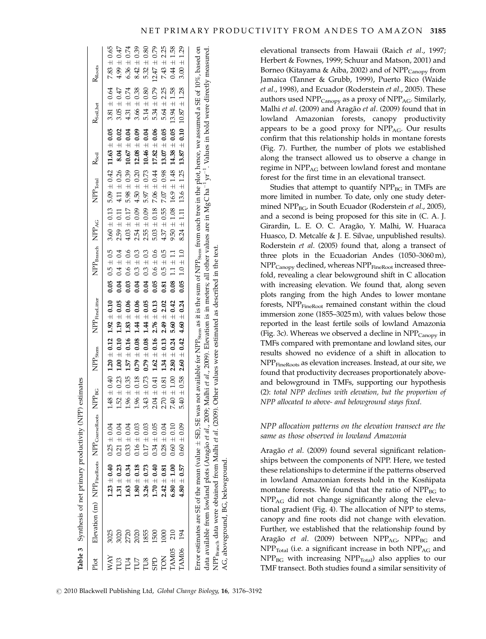|                 |      |                        | Table 3 Synthesis of net primary productivity (NPP) estimates                                                                        |                                 |                                 |                 |                              |                                                                                                                     |                 |                    |                      |                |
|-----------------|------|------------------------|--------------------------------------------------------------------------------------------------------------------------------------|---------------------------------|---------------------------------|-----------------|------------------------------|---------------------------------------------------------------------------------------------------------------------|-----------------|--------------------|----------------------|----------------|
|                 |      |                        | Plot Elevation (m) NPP <sub>FmeRoots</sub> NPP <sub>CoarseRoots</sub> NPP <sub>BG</sub> NPP <sub>Stem</sub> NPP <sub>FmeLitter</sub> |                                 |                                 |                 |                              | NPP <sub>Branch</sub> NPP <sub>AG</sub> NPP <sub>Total</sub> R <sub>Soil</sub>                                      |                 |                    | R <sub>Soilhet</sub> | $R_{\rm Root}$ |
| WAY             | 3025 | $1.23 \pm 0.40$ 0.25 ± | 0.04                                                                                                                                 |                                 |                                 |                 |                              | $1.48 \pm 0.40$ $1.20 \pm 0.12$ $1.92 \pm 0.10$ 0.05 $0.5 \pm 0.5$ 3.60 $\pm 0.13$ 5.09 $\pm 0.42$ 11.63 $\pm 0.05$ |                 |                    | $3.81 \pm 0.64$      | 7.83           |
| TU3             | 3020 | $1.31 \pm 0.23$        | 0.04<br>$0.21 \pm$                                                                                                                   | $1.52 \pm 0.23$                 | $1.00 \pm 0.10$ $1.19 \pm 0.05$ |                 | 0.04 $0.4 \pm 0.4$           | $2.59\,\pm\,0.11$                                                                                                   | $4.11 \pm 0.26$ | $8.04 \pm 0.02$    | 47<br>3.05           | 4.99           |
| TU <sub>4</sub> | 2720 | $1.63 \pm 0.34$        | 0.04<br>$0.33 +$                                                                                                                     | $1.96 \pm 0.35$ $1.57 \pm 0.16$ |                                 | $1.83 + 0.06$   | $0.6 \pm 0.6$<br>$\sim 0.03$ | ± 0.17<br>$4.03 \pm$                                                                                                | $5.98 \pm 0.39$ | $10.67\,\pm\,0.04$ | $4.31 \pm 0.74$      | 6.36           |
| TU7             | 2020 | $1.80 \pm 0.18$        | 0.03<br>$0.16 \pm$                                                                                                                   | $1.96 \pm 0.18$ 0.79 $\pm$ 0.08 |                                 | $1.44 \pm 0.06$ | $0.04$ 0.3 $\pm$ 0.3         | $2.54 \pm 0.09$                                                                                                     | $4.50 \pm 0.20$ | $12.08 \pm 0.09$   | $3.66 \pm 0.38$      | 8.42           |
| TU8             | 1855 | $3.26 \pm 0.73$        | $0.17 \pm 0.03$                                                                                                                      | $\pm$ 0.73<br>3.43              | $0.79 \pm 0.08$                 | $1.44 \pm 0.05$ | $0.3 \pm 0.3$<br>$\sim 0.04$ | $2.55 \pm 0.09$                                                                                                     | $5.97 \pm 0.73$ | $10.46 \pm 0.04$   | $5.14 \pm 0.80$      | 5.32           |
| <b>GPD</b>      | 500  | $1.70 \pm 0.40$        | $0.34 \pm 0.05$                                                                                                                      | $2.04 \pm 0.41$ 1.62 $\pm$ 0.16 |                                 | $2.76 \pm 0.13$ | $0.05$ 0.6 $\pm$ 0.6         | $5.03 \pm 0.18$ 7.06 $\pm 0.44$ 17.82 $\pm$ 0.06                                                                    |                 |                    | $5.34 \pm 0.79$      | 12.47          |

R<sub>Roots</sub>

 $10.65$ 

 $\pm 0.47$ 

 $+0.74$ 

 $\pm 0.39$ 

 $\pm 0.80$ 

Error estimates are SE of the mean (value  $\pm$  SE), SE was not available for NPP  $_{\rm Sem}$  as it is the sum of NPP  $_{\rm Sem}$  from each tree in the plot, hence, we assumed a SE of 10%, based on  $\pm$  SE), SE was not available for NPP  $_{\rm{sem}}$  as it is the sum of NPP  $_{\rm{Sem}}$  from each tree in the plot, hence, we assumed a SE of 10%, based on yr<sup>-1</sup>. Values in bold were directly measured. 1. Values in bold were directly measured. data available from lowland plots (Aragão *et al.,* 2009; Malhi *et al.,* 2009). Elevation is in meters; all other values are in MgCha<sup>-I</sup> data available from lowland plots (Aragão *et al.*, 2009; Malhi *et al.,* 2009). Elevation is in meters; all other values are in Mg C ha<sup>-</sup> NPP<sub>Branch</sub> data were obtained from Malhi et al. (2009). Other values were estimated as described in the text. NPP<sub>Branch</sub> data were obtained from Malhi *et al.* (2009). Other values were estimated as described in the text. Error estimates are SE of the mean (value AG, aboveground, BG, belowground. AG, aboveground, BG, belowground.

elevational transects from Hawaii (Raich et al., 1997; Herbert & Fownes, 1999; Schuur and Matson, 2001) and Borneo (Kitayama & Aiba, 2002) and of  $NPP_{Canony}$  from Jamaica (Tanner & Grubb, 1999), Puerto Rico (Waide et al., 1998), and Ecuador (Roderstein et al., 2005). These authors used  $NPP_{Canopy}$  as a proxy of  $NPP_{AG}$ . Similarly, Malhi et al. (2009) and Aragão et al. (2009) found that in lowland Amazonian forests, canopy productivity appears to be a good proxy for  $NPP_{AG}$ . Our results confirm that this relationship holds in montane forests (Fig. 7). Further, the number of plots we established along the transect allowed us to observe a change in regime in  $NPP_{AG}$  between lowland forest and montane forest for the first time in an elevational transect.

Studies that attempt to quantify  $NPP_{BG}$  in TMFs are more limited in number. To date, only one study determined NPP<sub>BG</sub>, in South Ecuador (Roderstein et al., 2005), and a second is being proposed for this site in (C. A. J. Girardin, L. E. O. C. Aragão, Y. Malhi, W. Huaraca Huasco, D. Metcalfe & J. E. Silvae, unpublished results). Roderstein et al. (2005) found that, along a transect of three plots in the Ecuadorian Andes (1050–3060 m),  $NPP_{\text{Canopy}}$  declined, whereas  $NPP_{\text{FineRoot}}$  increased threefold, revealing a clear belowground shift in C allocation with increasing elevation. We found that, along seven plots ranging from the high Andes to lower montane forests, NPP<sub>FineRoot</sub> remained constant within the cloud immersion zone (1855–3025 m), with values below those reported in the least fertile soils of lowland Amazonia (Fig. 3c). Whereas we observed a decline in  $NPP_{Canopy}$  in TMFs compared with premontane and lowland sites, our results showed no evidence of a shift in allocation to NPP<sub>FineRoots</sub> as elevation increases. Instead, at our site, we found that productivity decreases proportionately aboveand belowground in TMFs, supporting our hypothesis (2): total NPP declines with elevation, but the proportion of NPP allocated to above- and belowground stays fixed.

# NPP allocation patterns on the elevation transect are the same as those observed in lowland Amazonia

Aragão et al. (2009) found several significant relationships between the components of NPP. Here, we tested these relationships to determine if the patterns observed in lowland Amazonian forests hold in the Kosñipata montane forests. We found that the ratio of  $NPP_{BG}$  to NPPAG did not change significantly along the elevational gradient (Fig. 4). The allocation of NPP to stems, canopy and fine roots did not change with elevation. Further, we established that the relationship found by Aragão et al. (2009) between NPP<sub>AG</sub>, NPP<sub>BG</sub> and  $NPP<sub>Total</sub>$  (i.e. a significant increase in both  $NPP<sub>AG</sub>$  and  $NPP_{BG}$  with increasing  $NPP_{Total}$ ) also applies to our TMF transect. Both studies found a similar sensitivity of

1500<br>1000

TON 1000 2.42

TAM05 210 6.80

210<br>194

TAM06 194 4.80

TAM06 TAM05 TON GPD

 $2.42 \pm 0.81$  $\pm 0.81$  0.28

 $6.80 + 1.00$ 

 $4.80 + 0.57$  $\pm$  0.57 0.60

 $0.60 \pm 0.09$ 

 $0.09$  5.40

 $5.40 \pm 0.58$  $\pm$  0.58 2.60

 $2.60 + 0.42$  $\pm~0.42$  4.60

 $4.60 + 0.24$ 

 $\pm~0.24$  0.05 1.0

 $0.05$ 

 $1.0\pm1.0$  $\pm 1.0$  8.24

 $8.24\,\pm\,1.11$  $\pm 1.11$  13.6

 $13.6 \pm 1.25$  $± 1.25$  13.87

 $13.87\pm0.10$ 

 $\pm~0.10~$  10.87

 $10.87 \pm 1.28$ 

 $\pm$  1.28  $\,$  3.00  $\,$ 

 $\pm 1.29$ 

 $\pm\,1.00$  0.60

 $0.60\,\pm\,0.10$ 

 $0.10$  7.40

 $7.40 \pm 1.00$  $\pm$  1.00 2.80

 $2.80 \pm 0.24$  $\pm$  0.24 5.60

 $5.60 + 0.42$ 

 $\pm\ 0.42$  0.08 1.1

 $0.08$  1.1  $\pm$  1.1

 $1.1$  9.50

 $9.50 \pm 1.08$  $± 1.08$  16.9

 $16.9 \pm 1.48$  $± 1.48$  14.38

 $14.38 \pm 0.05$ 

 $0.05$  13.94

 $13.94 \pm 1.58$ 

 $\pm 1.58$  0.44

 $\pm1.58$ 

 $0.28 + 0.04$ 

 $0.04$  2.70

 $\hspace{0.1mm} +$  $0.81$  1.34

 $\hspace{0.1mm} +$  $\pm 0.13$  2.49

┽

 $\pm 2.02$  0.81 0.5

0.81  $0.5 \pm 0.5$ 

 $0.5$  4.37

 $4.37\,\pm\,0.55$  $0.55$  7.07

 $^+$ 

 $\pm 0.98$  13.07

 $^+$ 

 $0.05$  5.64

 $5.64 \pm 2.25$  $\pm 2.25$  7.43

 $\pm 0.79$ 

 $1.25$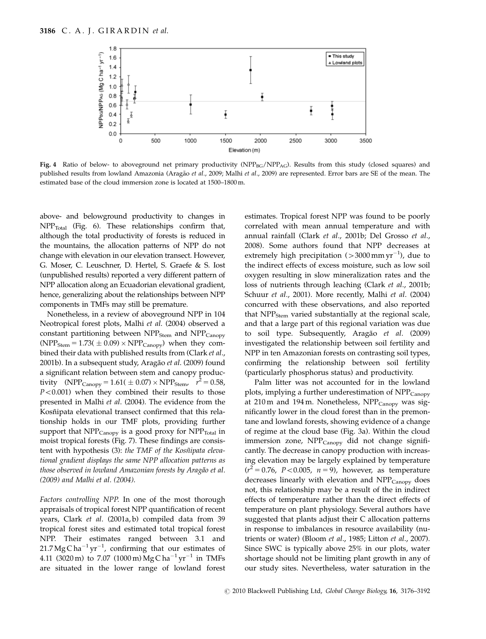

Fig. 4 Ratio of below- to aboveground net primary productivity  $(NPP_{BG}/NPP_{AG})$ . Results from this study (closed squares) and published results from lowland Amazonia (Aragão et al., 2009; Malhi et al., 2009) are represented. Error bars are SE of the mean. The estimated base of the cloud immersion zone is located at 1500–1800 m.

above- and belowground productivity to changes in  $NPP_{\text{Total}}$  (Fig. 6). These relationships confirm that, although the total productivity of forests is reduced in the mountains, the allocation patterns of NPP do not change with elevation in our elevation transect. However, G. Moser, C. Leuschner, D. Hertel, S. Graefe & S. Iost (unpublished results) reported a very different pattern of NPP allocation along an Ecuadorian elevational gradient, hence, generalizing about the relationships between NPP components in TMFs may still be premature.

Nonetheless, in a review of aboveground NPP in 104 Neotropical forest plots, Malhi et al. (2004) observed a constant partitioning between  $NPP<sub>Stem</sub>$  and  $NPP<sub>Canopy</sub>$  $(NPP<sub>Stem</sub> = 1.73( ± 0.09) × NPP<sub>Canopy</sub>)$  when they combined their data with published results from (Clark et al., 2001b). In a subsequent study, Aragão et al. (2009) found a significant relation between stem and canopy productivity (NPP<sub>Canopy</sub> = 1.61(  $\pm$  0.07)  $\times$  NPP<sub>Stem</sub>,  $r^2 = 0.58$ ,  $P < 0.001$ ) when they combined their results to those presented in Malhi et al. (2004). The evidence from the Kosñipata elevational transect confirmed that this relationship holds in our TMF plots, providing further support that  $NPP_{\text{Canopy}}$  is a good proxy for  $NPP_{\text{Total}}$  in moist tropical forests (Fig. 7). These findings are consistent with hypothesis (3): the TMF of the Kosñipata elevational gradient displays the same NPP allocation patterns as those observed in lowland Amazonian forests by Aragão et al. (2009) and Malhi et al. (2004).

Factors controlling NPP. In one of the most thorough appraisals of tropical forest NPP quantification of recent years, Clark et al. (2001a, b) compiled data from 39 tropical forest sites and estimated total tropical forest NPP. Their estimates ranged between 3.1 and  $21.7 \text{ Mg C} \text{ ha}^{-1} \text{ yr}^{-1}$ , confirming that our estimates of  $4.11 \, \, \textrm{(3020\,m)}$  to  $7.07 \, \, \textrm{(1000\,m)} \, \textrm{Mg} \, \textrm{C} \, \textrm{ha}^{-1} \, \textrm{yr}^{-1}$  in TMFs are situated in the lower range of lowland forest

estimates. Tropical forest NPP was found to be poorly correlated with mean annual temperature and with annual rainfall (Clark et al., 2001b; Del Grosso et al., 2008). Some authors found that NPP decreases at extremely high precipitation ( $>$ 3000 mm yr $^{-1}$ ), due to the indirect effects of excess moisture, such as low soil oxygen resulting in slow mineralization rates and the loss of nutrients through leaching (Clark et al., 2001b; Schuur et al., 2001). More recently, Malhi et al. (2004) concurred with these observations, and also reported that NPP<sub>Stem</sub> varied substantially at the regional scale, and that a large part of this regional variation was due to soil type. Subsequently, Aragão et al. (2009) investigated the relationship between soil fertility and NPP in ten Amazonian forests on contrasting soil types, confirming the relationship between soil fertility (particularly phosphorus status) and productivity.

Palm litter was not accounted for in the lowland plots, implying a further underestimation of NPP<sub>Canopy</sub> at 210 m and 194 m. Nonetheless,  $NPP_{\text{Canopy}}$  was significantly lower in the cloud forest than in the premontane and lowland forests, showing evidence of a change of regime at the cloud base (Fig. 3a). Within the cloud immersion zone, NPP<sub>Canopy</sub> did not change significantly. The decrease in canopy production with increasing elevation may be largely explained by temperature  $(r^2 = 0.76, \, P < 0.005, \, n = 9)$ , however, as temperature decreases linearly with elevation and  $NPP_{Canopy}$  does not, this relationship may be a result of the in indirect effects of temperature rather than the direct effects of temperature on plant physiology. Several authors have suggested that plants adjust their C allocation patterns in response to imbalances in resource availability (nutrients or water) (Bloom et al., 1985; Litton et al., 2007). Since SWC is typically above 25% in our plots, water shortage should not be limiting plant growth in any of our study sites. Nevertheless, water saturation in the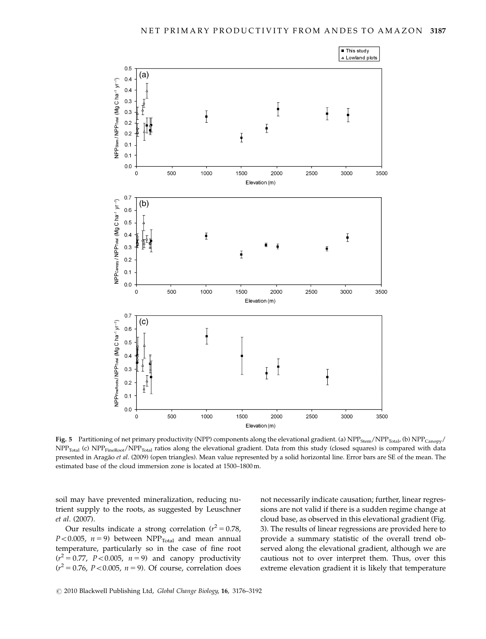

Fig. 5 Partitioning of net primary productivity (NPP) components along the elevational gradient. (a) NPP<sub>Stem</sub>/NPP<sub>Total</sub>, (b) NPP<sub>Canopy</sub>/ NPP<sub>Total</sub> (c) NPP<sub>FineRoot</sub>/NPP<sub>Total</sub> ratios along the elevational gradient. Data from this study (closed squares) is compared with data presented in Aragão et al. (2009) (open triangles). Mean value represented by a solid horizontal line. Error bars are SE of the mean. The estimated base of the cloud immersion zone is located at 1500–1800 m.

soil may have prevented mineralization, reducing nutrient supply to the roots, as suggested by Leuschner et al. (2007).

Our results indicate a strong correlation ( $r^2 = 0.78$ ,  $P<0.005$ ,  $n = 9$ ) between NPP<sub>Total</sub> and mean annual temperature, particularly so in the case of fine root  $(r^2 = 0.77, P < 0.005, n = 9)$  and canopy productivity  $(r^2 = 0.76, P < 0.005, n = 9)$ . Of course, correlation does

not necessarily indicate causation; further, linear regressions are not valid if there is a sudden regime change at cloud base, as observed in this elevational gradient (Fig. 3). The results of linear regressions are provided here to provide a summary statistic of the overall trend observed along the elevational gradient, although we are cautious not to over interpret them. Thus, over this extreme elevation gradient it is likely that temperature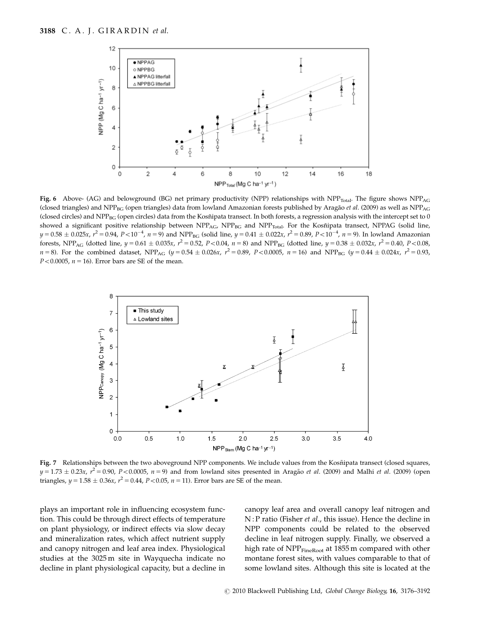

Fig. 6 Above- (AG) and belowground (BG) net primary productivity (NPP) relationships with  $NPP_{Total}$ . The figure shows  $NPP_{AG}$ (closed triangles) and NPP<sub>BG</sub> (open triangles) data from lowland Amazonian forests published by Aragão et al. (2009) as well as NPP<sub>AG</sub> (closed circles) and NPP<sub>BG</sub> (open circles) data from the Kosñipata transect. In both forests, a regression analysis with the intercept set to 0 showed a significant positive relationship between NPP<sub>AG</sub>, NPP<sub>BG</sub> and NPP<sub>Total</sub>. For the Kosñipata transect, NPPAG (solid line,  $y = 0.58 \pm 0.025x$ ,  $r^2 = 0.94$ ,  $P < 10^{-4}$ ,  $n = 9$ ) and NPP<sub>BG</sub> (solid line,  $y = 0.41 \pm 0.022x$ ,  $r^2 = 0.89$ ,  $P < 10^{-4}$ ,  $n = 9$ ). In lowland Amazonian forests, NPP<sub>AG</sub> (dotted line,  $y = 0.61 \pm 0.035x$ ,  $r^2 = 0.52$ ,  $P < 0.04$ ,  $n = 8$ ) and NPP<sub>BG</sub> (dotted line,  $y = 0.38 \pm 0.032x$ ,  $r^2 = 0.40$ ,  $P < 0.08$ ,  $n = 8$ ). For the combined dataset, NPP<sub>AG</sub> ( $y = 0.54 \pm 0.026x$ ,  $r^2 = 0.89$ ,  $P < 0.0005$ ,  $n = 16$ ) and NPP<sub>BG</sub> ( $y = 0.44 \pm 0.024x$ ,  $r^2 = 0.93$ ,  $P < 0.0005$ ,  $n = 16$ ). Error bars are SE of the mean.



Fig. 7 Relationships between the two aboveground NPP components. We include values from the Kosñipata transect (closed squares,  $y = 1.73 \pm 0.23x$ ,  $r^2 = 0.90$ ,  $P < 0.0005$ ,  $n = 9$ ) and from lowland sites presented in Aragão *et al.* (2009) and Malhi *et al.* (2009) (open triangles,  $y = 1.58 \pm 0.36x$ ,  $r^2 = 0.44$ ,  $P < 0.05$ ,  $n = 11$ ). Error bars are SE of the mean.

plays an important role in influencing ecosystem function. This could be through direct effects of temperature on plant physiology, or indirect effects via slow decay and mineralization rates, which affect nutrient supply and canopy nitrogen and leaf area index. Physiological studies at the 3025 m site in Wayquecha indicate no decline in plant physiological capacity, but a decline in canopy leaf area and overall canopy leaf nitrogen and N : P ratio (Fisher et al., this issue). Hence the decline in NPP components could be related to the observed decline in leaf nitrogen supply. Finally, we observed a high rate of NPP<sub>FineRoot</sub> at 1855 m compared with other montane forest sites, with values comparable to that of some lowland sites. Although this site is located at the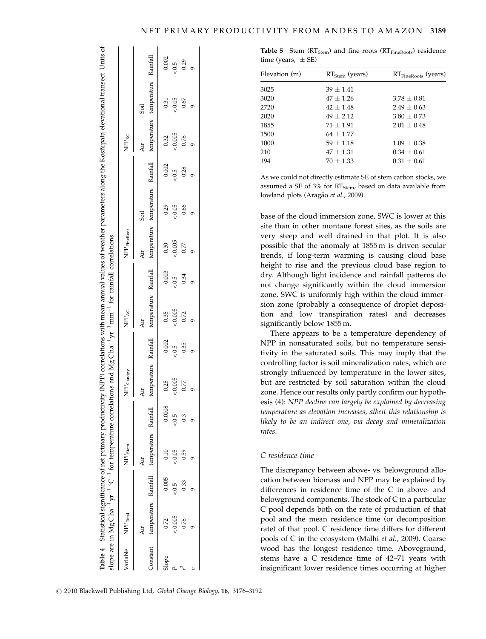|       | Table 4 Statistical significance of net primary produ-                                                                                  |       |                     |        |                       |       |                   |       | ctivity (NPP) correlations with mean annual values of weather parameters along the Kosñipata elevational transect. Units of |       |                  |                   |             |        |
|-------|-----------------------------------------------------------------------------------------------------------------------------------------|-------|---------------------|--------|-----------------------|-------|-------------------|-------|-----------------------------------------------------------------------------------------------------------------------------|-------|------------------|-------------------|-------------|--------|
|       | slope are in $MgCha^{-1}yr^{-1}$ °C <sup>-1</sup> for temperature correlations and $MgCha^{-1}yr^{-1}mm^{-1}$ for rainfall correlations |       |                     |        |                       |       |                   |       |                                                                                                                             |       |                  |                   |             |        |
|       | Variable NPP <sub>Total</sub>                                                                                                           |       | NPP <sub>Stem</sub> |        | NPP <sub>Canopy</sub> |       | NPP <sub>AG</sub> |       | $\ensuremath{\mathsf{NPP}}\xspace_{\text{Finekoot}}$                                                                        |       |                  | NPP <sub>BG</sub> |             |        |
|       | άr                                                                                                                                      |       | Àir                 |        | Áir                   |       | Àir               |       | Air                                                                                                                         | Soil  |                  | Äir               | <b>Soil</b> |        |
|       | Constant temperature Rainfall temperature Rainfall                                                                                      |       |                     |        |                       |       |                   |       | temperature Rainfall temperature Rainfall temperature temperature Rainfall temperature temperature Rainfall                 |       |                  |                   |             |        |
| Slope | 0.72                                                                                                                                    | 0.005 | 0.10                | 0.0008 | 0.25                  | 0.002 | 0.35              | 0.003 | 0.30                                                                                                                        | 0.29  | 0.002            | 0.32              | 0.31        | 0.002  |
|       | 2005                                                                                                                                    |       | &0.05               | $-0.5$ | 0.005                 | 500   | 0.005             | 5.02  | 0.005                                                                                                                       | 50.05 | 0.5 <sub>0</sub> | 0.005             | 0.05        | $-0.5$ |
|       | 0.78                                                                                                                                    | 0.33  | 0.59                | 0.3    | 0.77                  | 0.35  | 0.72              | 0.34  | 0.77                                                                                                                        | 0.66  | 0.28             | 0.78              | 0.67        | 0.29   |
|       |                                                                                                                                         |       |                     |        |                       |       |                   |       |                                                                                                                             |       |                  |                   |             |        |
|       |                                                                                                                                         |       |                     |        |                       |       |                   |       |                                                                                                                             |       |                  |                   |             |        |

Table 5 Stem  $(RT_{Stem})$  and fine roots  $(RT_{FineRoots})$  residence time (years,  $\pm$  SE)

| Elevation (m) | $RTStem$ (years) | $RT_{\text{FineRoots}}$ (years) |
|---------------|------------------|---------------------------------|
| 3025          | $39 + 1.41$      |                                 |
| 3020          | $47 \pm 1.26$    | $3.78 + 0.81$                   |
| 2720          | $42 \pm 1.48$    | $2.49 \pm 0.63$                 |
| 2020          | $49 + 2.12$      | $3.80 \pm 0.73$                 |
| 1855          | $71 + 1.91$      | $2.01 \pm 0.48$                 |
| 1500          | $64 + 1.77$      |                                 |
| 1000          | $59 + 1.18$      | $1.09 \pm 0.38$                 |
| 210           | $47 + 1.31$      | $0.34 + 0.61$                   |
| 194           | $70 + 1.33$      | $0.31 + 0.61$                   |

As we could not directly estimate SE of stem carbon stocks, we assumed a SE of 3% for  $RT_{Stem}$ , based on data available from lowland plots (Aragão et al., 2009).

base of the cloud immersion zone, SWC is lower at this site than in other montane forest sites, as the soils are very steep and well drained in that plot. It is also possible that the anomaly at 1855 m is driven secular trends, if long-term warming is causing cloud base height to rise and the previous cloud base region to dry. Although light incidence and rainfall patterns do not change significantly within the cloud immersion zone, SWC is uniformly high within the cloud immersion zone (probably a consequence of droplet deposition and low transpiration rates) and decreases significantly below 1855 m.

There appears to be a temperature dependency of NPP in nonsaturated soils, but no temperature sensitivity in the saturated soils. This may imply that the controlling factor is soil mineralization rates, which are strongly influenced by temperature in the lower sites, but are restricted by soil saturation within the cloud zone. Hence our results only partly confirm our hypothesis (4): NPP decline can largely be explained by decreasing temperature as elevation increases, albeit this relationship is likely to be an indirect one, via decay and mineralization rates.

# C residence time

The discrepancy between above- vs. belowground allocation between biomass and NPP may be explained by differences in residence time of the C in above- and belowground components. The stock of C in a particular C pool depends both on the rate of production of that pool and the mean residence time (or decomposition rate) of that pool. C residence time differs for different pools of C in the ecosystem (Malhi et al., 2009). Coarse wood has the longest residence time. Aboveground, stems have a C residence time of 42–71 years with insignificant lower residence times occurring at higher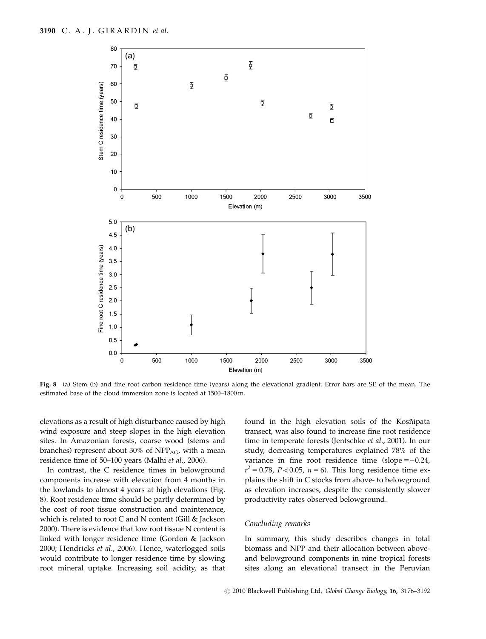

Fig. 8 (a) Stem (b) and fine root carbon residence time (years) along the elevational gradient. Error bars are SE of the mean. The estimated base of the cloud immersion zone is located at 1500–1800 m.

elevations as a result of high disturbance caused by high wind exposure and steep slopes in the high elevation sites. In Amazonian forests, coarse wood (stems and branches) represent about 30% of  $NPP_{AG}$ , with a mean residence time of 50–100 years (Malhi et al., 2006).

In contrast, the C residence times in belowground components increase with elevation from 4 months in the lowlands to almost 4 years at high elevations (Fig. 8). Root residence time should be partly determined by the cost of root tissue construction and maintenance, which is related to root C and N content (Gill & Jackson 2000). There is evidence that low root tissue N content is linked with longer residence time (Gordon & Jackson 2000; Hendricks et al., 2006). Hence, waterlogged soils would contribute to longer residence time by slowing root mineral uptake. Increasing soil acidity, as that found in the high elevation soils of the Kosñipata transect, was also found to increase fine root residence time in temperate forests (Jentschke et al., 2001). In our study, decreasing temperatures explained 78% of the variance in fine root residence time  $(slope = -0.24)$  $r^2 = 0.78$ , P < 0.05, n = 6). This long residence time explains the shift in C stocks from above- to belowground as elevation increases, despite the consistently slower productivity rates observed belowground.

# Concluding remarks

In summary, this study describes changes in total biomass and NPP and their allocation between aboveand belowground components in nine tropical forests sites along an elevational transect in the Peruvian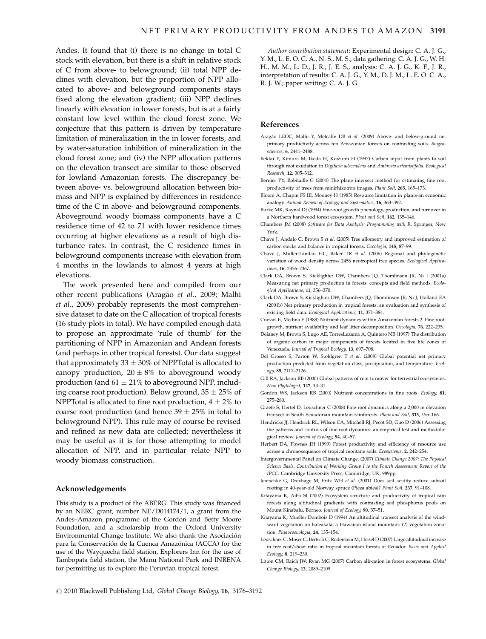Andes. It found that (i) there is no change in total C stock with elevation, but there is a shift in relative stock of C from above- to belowground; (ii) total NPP declines with elevation, but the proportion of NPP allocated to above- and belowground components stays fixed along the elevation gradient; (iii) NPP declines linearly with elevation in lower forests, but is at a fairly constant low level within the cloud forest zone. We conjecture that this pattern is driven by temperature limitation of mineralization in the in lower forests, and by water-saturation inhibition of mineralization in the cloud forest zone; and (iv) the NPP allocation patterns on the elevation transect are similar to those observed for lowland Amazonian forests. The discrepancy between above- vs. belowground allocation between biomass and NPP is explained by differences in residence time of the C in above- and belowground components. Aboveground woody biomass components have a C residence time of 42 to 71 with lower residence times occurring at higher elevations as a result of high disturbance rates. In contrast, the C residence times in belowground components increase with elevation from 4 months in the lowlands to almost 4 years at high elevations.

The work presented here and compiled from our other recent publications (Aragão et al., 2009; Malhi et al., 2009) probably represents the most comprehensive dataset to date on the C allocation of tropical forests (16 study plots in total). We have compiled enough data to propose an approximate 'rule of thumb' for the partitioning of NPP in Amazonian and Andean forests (and perhaps in other tropical forests). Our data suggest that approximately 33  $\pm$  30% of NPPTotal is allocated to canopy production,  $20 \pm 8\%$  to aboveground woody production (and  $61 \pm 21\%$  to aboveground NPP, including coarse root production). Below ground,  $35 \pm 25\%$  of NPPTotal is allocated to fine root production,  $4 \pm 2\%$  to coarse root production (and hence  $39 \pm 25\%$  in total to belowground NPP). This rule may of course be revised and refined as new data are collected; nevertheless it may be useful as it is for those attempting to model allocation of NPP, and in particular relate NPP to woody biomass construction.

#### Acknowledgements

This study is a product of the ABERG. This study was financed by an NERC grant, number NE/D014174/1, a grant from the Andes–Amazon programme of the Gordon and Betty Moore Foundation, and a scholarship from the Oxford University Environmental Change Institute. We also thank the Asociación para la Conservación de la Cuenca Amazónica (ACCA) for the use of the Wayquecha field station, Explorers Inn for the use of Tambopata field station, the Manu National Park and INRENA for permitting us to explore the Peruvian tropical forest.

Author contribution statement: Experimental design: C. A. J. G., Y. M., L. E. O. C. A., N. S., M. S., data gathering: C. A. J. G., W. H. H., M. M., L. D., J. R., J. E. S., analysis: C. A. J. G., K. F., J. R., interpretation of results: C. A. J. G., Y. M., D. J. M., L. E. O. C. A., R. J. W.; paper writing: C. A. J. G.

#### References

- Aragão LEOC, Malhi Y, Metcalfe DB et al. (2009) Above- and below-ground net primary productivity across ten Amazonian forests on contrasting soils. Biogeosciences, 6, 2441–2488.
- Bekku Y, Kimura M, Ikeda H, Koizumi H (1997) Carbon input from plants to soil through root exudation in Digitaria adscendens and Ambrosia artemisiifolia. Ecological Research, 12, 305–312.
- Bernier PY, Robitaille G (2004) The plane intersect method for estimating fine root productivity of trees from minirhizotron images. Plant Soil, 265, 165–173.
- Bloom A, Chapin FS III, Mooney H (1985) Resource limitation in plants-an economic analogy. Annual Review of Ecology and Systematics, 16, 363–392.
- Burke MK, Raynal DJ (1994) Fine-root growth phenology, production, and turnover in a Northern hardwood forest ecosystem. Plant and Soil, 162, 135–146.
- Chambers JM (2008) Software for Data Analysis: Programming with R. Springer, New York.
- Chave J, Andalo C, Brown S et al. (2005) Tree allometry and improved estimation of carbon stocks and balance in tropical forests. Oecologia, 145, 87–99.
- Chave J, Muller-Landau HC, Baker TR et al. (2006) Regional and phylogenetic variation of wood density across 2456 neotropical tree species. Ecological Applications, 16, 2356–2367.
- Clark DA, Brown S, Kicklighter DW, Chambers JQ, Thomlinson JR, Ni J (2001a) Measuring net primary production in forests: concepts and field methods. Ecological Applications, 11, 356–370.
- Clark DA, Brown S, Kicklighter DW, Chambers JQ, Thomlinson JR, Ni J, Holland EA (2001b) Net primary production in tropical forests: an evaluation and synthesis of existing field data. Ecological Applications, 11, 371–384.
- Cuevas E, Medina E (1988) Nutrient dynamics within Amazonian forests 2. Fine rootgrowth, nutrient availability and leaf litter decomposition. Oecologia, 76, 222–235.
- Delaney M, Brown S, Lugo AE, TorresLezama A, Quintero NB (1997) The distribution of organic carbon in major components of forests located in five life zones of Venezuela. Journal of Tropical Ecology, 13, 697–708.
- Del Grosso S, Parton W, Stohlgren T et al. (2008) Global potential net primary production predicted from vegetation class, precipitation, and temperature. Ecology, 89, 2117–2126.
- Gill RA, Jackson RB (2000) Global patterns of root turnover for terrestrial ecosystems. New Phytologist, 147, 13–31.
- Gordon WS, Jackson RB (2000) Nutrient concentrations in fine roots. Ecology, 81, 275–280.
- Graefe S, Hertel D, Leuschner C (2008) Fine root dynamics along a 2,000 m elevation transect in South Ecuadorian mountain rainforests. Plant and Soil, 313, 155–166.
- Hendricks JJ, Hendrick RL, Wilson CA, Mitchell RJ, Pecot SD, Guo D (2006) Assessing the patterns and controls of fine root dynamics: an empirical test and methodological review. Journal of Ecology, 94, 40–57.
- Herbert DA, Fownes JH (1999) Forest productivity and efficiency of resource use across a chronosequence of tropical montane soils. Ecosystems, 2, 242–254.
- Intergovernmental Panel on Climate Change. (2007) Climate Change 2007: The Physical Science Basis. Contribution of Working Group I to the Fourth Assessment Report of the IPCC. Cambridge University Press, Cambridge, UK, 989pp.
- Jentschke G, Drexhage M, Fritz WH et al. (2001) Does soil acidity reduce subsoil rooting in 40-year-old Norway spruce (Picea abies)? Plant Soil, 237, 91–108.
- Kitayama K, Aiba SI (2002) Ecosystem structure and productivity of tropical rain forests along altitudinal gradients with contrasting soil phosphorus pools on Mount Kinabalu, Borneo. Journal of Ecology, 90, 37–51.
- Kitayama K, Mueller Dombois D (1994) An altitudinal transect analysis of the windward vegetation on haleakala, a Hawaiian island mountain: (2) vegetation zonation. Phytocoenologia, 24, 135–154.
- Leuschner C, Moser G, Bertsch C, Roderstein M, Hertel D (2007) Large altitudinal increase in tree root/shoot ratio in tropical mountain forests of Ecuador. Basic and Applied Ecology, 8, 219–230.
- Litton CM, Raich JW, Ryan MG (2007) Carbon allocation in forest ecosystems. Global Change Biology, 13, 2089–2109.